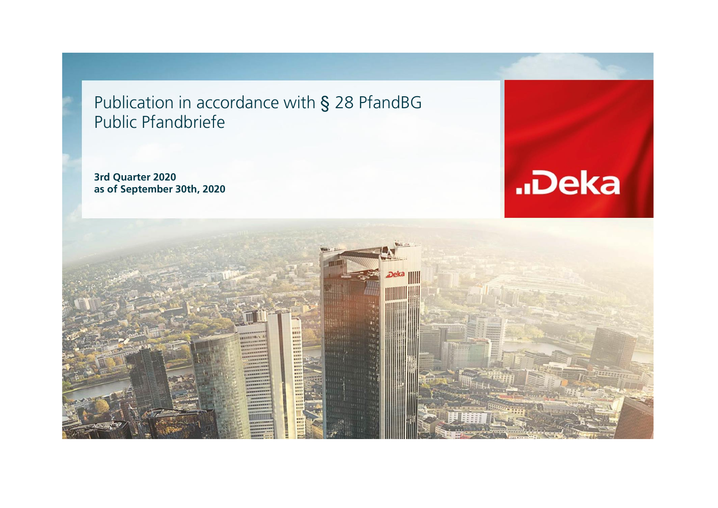Publication in accordance with § 28 PfandBG Public Pfandbriefe

**3rd Quarter 2020 as of September 30th, 2020**



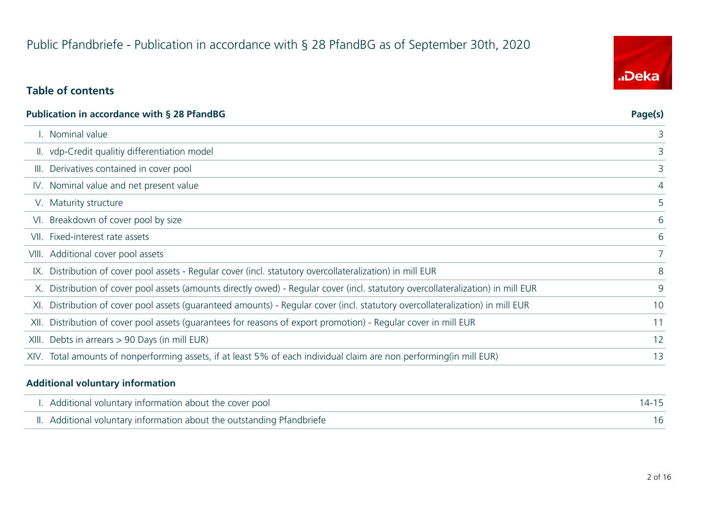# Public Pfandbriefe - Publication in accordance with § 28 PfandBG as of September 30th, 2020

# **Table of contents**

| <b>Publication in accordance with § 28 PfandBG</b>                                                                               | Page(s) |
|----------------------------------------------------------------------------------------------------------------------------------|---------|
| I. Nominal value                                                                                                                 | 3       |
| II. vdp-Credit qualitiy differentiation model                                                                                    | 3       |
| III. Derivatives contained in cover pool                                                                                         | 3       |
| IV. Nominal value and net present value                                                                                          | 4       |
| V. Maturity structure                                                                                                            | 5       |
| VI. Breakdown of cover pool by size                                                                                              | 6       |
| VII. Fixed-interest rate assets                                                                                                  | 6       |
| VIII. Additional cover pool assets                                                                                               | 7       |
| IX. Distribution of cover pool assets - Regular cover (incl. statutory overcollateralization) in mill EUR                        | 8       |
| X. Distribution of cover pool assets (amounts directly owed) - Regular cover (incl. statutory overcollateralization) in mill EUR | 9       |
| XI. Distribution of cover pool assets (quaranteed amounts) - Regular cover (incl. statutory overcollateralization) in mill EUR   | 10      |
| XII. Distribution of cover pool assets (quarantees for reasons of export promotion) - Regular cover in mill EUR                  | 11      |
| XIII. Debts in arrears > 90 Days (in mill EUR)                                                                                   | 12      |
| XIV. Total amounts of nonperforming assets, if at least 5% of each individual claim are non performing(in mill EUR)              | 13      |
|                                                                                                                                  |         |

#### **Additional voluntary information**

| I. Additional voluntary information about the cover pool               | $14 - 15$ |
|------------------------------------------------------------------------|-----------|
| II. Additional voluntary information about the outstanding Pfandbriefe |           |

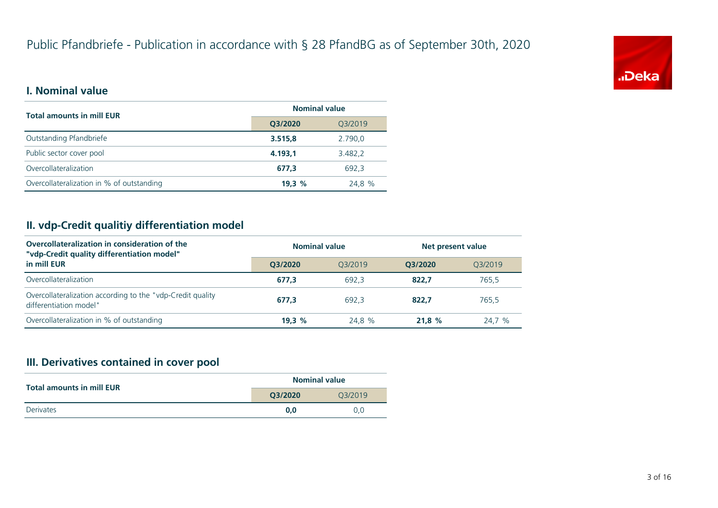

#### **I. Nominal value**

| <b>Total amounts in mill EUR</b>          | <b>Nominal value</b> |         |  |
|-------------------------------------------|----------------------|---------|--|
|                                           | Q3/2020              | Q3/2019 |  |
| Outstanding Pfandbriefe                   | 3.515,8              | 2.790.0 |  |
| Public sector cover pool                  | 4.193.1              | 3.482,2 |  |
| Overcollateralization                     | 677.3                | 692.3   |  |
| Overcollateralization in % of outstanding | 19.3%                | 24,8 %  |  |

# **II. vdp-Credit qualitiy differentiation model**

| Overcollateralization in consideration of the<br>"vdp-Credit quality differentiation model" | <b>Nominal value</b> |         | Net present value |         |
|---------------------------------------------------------------------------------------------|----------------------|---------|-------------------|---------|
| in mill EUR                                                                                 | O3/2020              | 03/2019 | O3/2020           | 03/2019 |
| Overcollateralization                                                                       | 677.3                | 692.3   | 822.7             | 765.5   |
| Overcollateralization according to the "vdp-Credit quality<br>differentiation model"        | 677.3                | 692.3   | 822.7             | 765.5   |
| Overcollateralization in % of outstanding                                                   | 19.3%                | 24.8 %  | 21.8%             | 24,7 %  |

#### **III. Derivatives contained in cover pool**

| <b>Total amounts in mill EUR</b> | <b>Nominal value</b> |         |  |
|----------------------------------|----------------------|---------|--|
|                                  | O3/2020              | 03/2019 |  |
| Derivates                        | 0.0                  | 0.0     |  |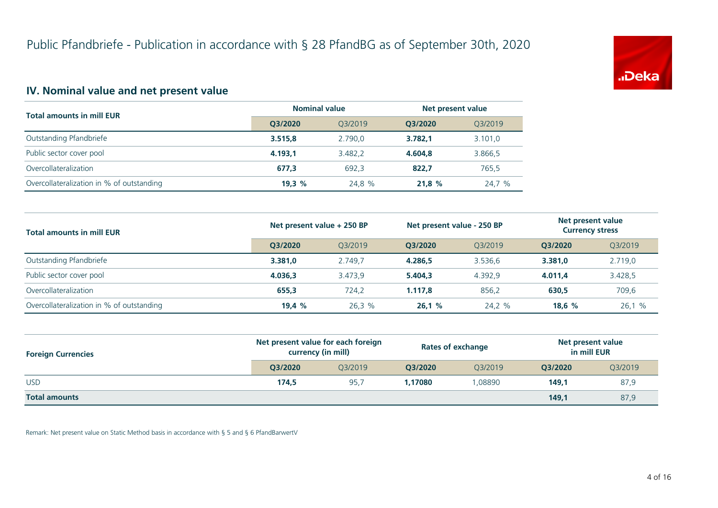

# **IV. Nominal value and net present value**

| <b>Total amounts in mill EUR</b>          | <b>Nominal value</b> |         | Net present value |         |
|-------------------------------------------|----------------------|---------|-------------------|---------|
|                                           | O3/2020              | O3/2019 | O3/2020           | Q3/2019 |
| Outstanding Pfandbriefe                   | 3.515.8              | 2.790.0 | 3.782.1           | 3.101,0 |
| Public sector cover pool                  | 4.193.1              | 3.482.2 | 4.604.8           | 3.866,5 |
| Overcollateralization                     | 677,3                | 692.3   | 822.7             | 765,5   |
| Overcollateralization in % of outstanding | 19.3%                | 24,8 %  | 21.8%             | 24,7 %  |

| <b>Total amounts in mill EUR</b>          | Net present value + 250 BP |         | Net present value - 250 BP |         | Net present value<br><b>Currency stress</b> |         |
|-------------------------------------------|----------------------------|---------|----------------------------|---------|---------------------------------------------|---------|
|                                           | O3/2020                    | 03/2019 | O3/2020                    | 03/2019 | O3/2020                                     | 03/2019 |
| Outstanding Pfandbriefe                   | 3.381.0                    | 2.749.7 | 4.286.5                    | 3.536.6 | 3.381,0                                     | 2.719,0 |
| Public sector cover pool                  | 4.036.3                    | 3.473.9 | 5.404.3                    | 4.392.9 | 4.011.4                                     | 3.428,5 |
| Overcollateralization                     | 655.3                      | 724,2   | 1.117.8                    | 856,2   | 630,5                                       | 709,6   |
| Overcollateralization in % of outstanding | 19.4%                      | 26.3%   | 26,1%                      | 24,2 %  | 18.6%                                       | 26,1 %  |

| <b>Foreign Currencies</b> | Net present value for each foreign<br>currency (in mill) |         | <b>Rates of exchange</b> |         | Net present value<br>in mill EUR |         |
|---------------------------|----------------------------------------------------------|---------|--------------------------|---------|----------------------------------|---------|
|                           | O3/2020                                                  | 03/2019 | O3/2020                  | 03/2019 | O3/2020                          | Q3/2019 |
| <b>USD</b>                | 174.5                                                    | 95.7    | 1.17080                  | .08890  | 149.1                            | 87,9    |
| <b>Total amounts</b>      |                                                          |         |                          |         | 149.1                            | 87,9    |

Remark: Net present value on Static Method basis in accordance with § 5 and § 6 PfandBarwertV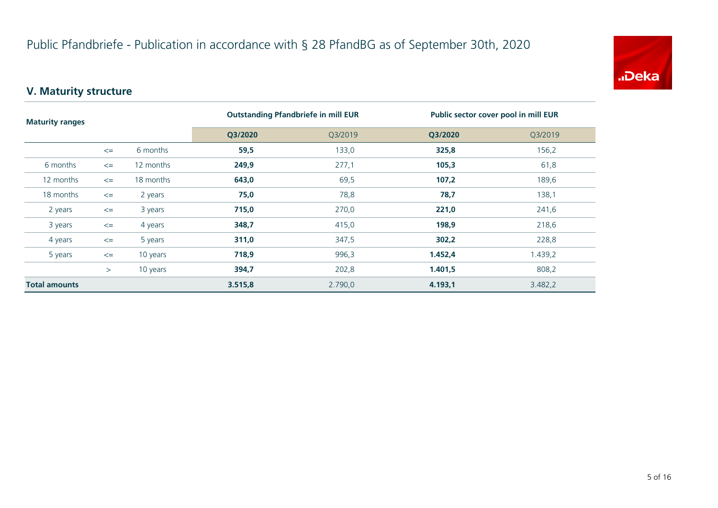

# **V. Maturity structure**

| <b>Maturity ranges</b> |        |           | <b>Outstanding Pfandbriefe in mill EUR</b> |         | Public sector cover pool in mill EUR |         |
|------------------------|--------|-----------|--------------------------------------------|---------|--------------------------------------|---------|
|                        |        | Q3/2020   | Q3/2019                                    | Q3/2020 | Q3/2019                              |         |
|                        | $\leq$ | 6 months  | 59,5                                       | 133,0   | 325,8                                | 156,2   |
| 6 months               | $\leq$ | 12 months | 249,9                                      | 277,1   | 105,3                                | 61,8    |
| 12 months              | $\leq$ | 18 months | 643,0                                      | 69,5    | 107,2                                | 189,6   |
| 18 months              | $\leq$ | 2 years   | 75,0                                       | 78,8    | 78,7                                 | 138,1   |
| 2 years                | $\leq$ | 3 years   | 715,0                                      | 270,0   | 221,0                                | 241,6   |
| 3 years                | $\leq$ | 4 years   | 348,7                                      | 415,0   | 198,9                                | 218,6   |
| 4 years                | $\leq$ | 5 years   | 311,0                                      | 347,5   | 302,2                                | 228,8   |
| 5 years                | $\leq$ | 10 years  | 718,9                                      | 996,3   | 1.452,4                              | 1.439,2 |
|                        | $\geq$ | 10 years  | 394,7                                      | 202,8   | 1.401,5                              | 808,2   |
| <b>Total amounts</b>   |        |           | 3.515,8                                    | 2.790,0 | 4.193,1                              | 3.482,2 |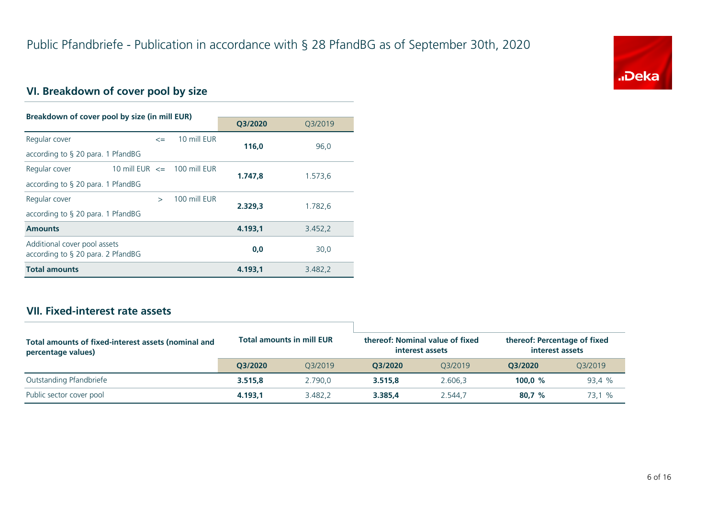

# **VI. Breakdown of cover pool by size**

| Breakdown of cover pool by size (in mill EUR)                        |  |               |                                 |         |         |  |
|----------------------------------------------------------------------|--|---------------|---------------------------------|---------|---------|--|
|                                                                      |  |               | Q3/2020                         | 03/2019 |         |  |
| Regular cover                                                        |  | $\leq$        | 10 mill EUR                     | 116,0   | 96,0    |  |
| according to $\S$ 20 para. 1 PfandBG                                 |  |               |                                 |         |         |  |
| Regular cover                                                        |  |               | 10 mill EUR $\leq$ 100 mill EUR | 1.747.8 | 1.573,6 |  |
| according to § 20 para. 1 PfandBG                                    |  |               |                                 |         |         |  |
| Regular cover                                                        |  | $\rightarrow$ | 100 mill FUR                    | 2.329.3 | 1.782,6 |  |
| according to $\S$ 20 para. 1 PfandBG                                 |  |               |                                 |         |         |  |
| <b>Amounts</b>                                                       |  |               |                                 | 4.193.1 | 3.452,2 |  |
| Additional cover pool assets<br>according to $\S$ 20 para. 2 PfandBG |  |               |                                 | 0,0     | 30,0    |  |
| <b>Total amounts</b>                                                 |  |               |                                 | 4.193.1 | 3.482,2 |  |

### **VII. Fixed-interest rate assets**

| Total amounts of fixed-interest assets (nominal and<br>percentage values) | <b>Total amounts in mill EUR</b> |         | thereof: Nominal value of fixed<br>interest assets |         | thereof: Percentage of fixed<br>interest assets |         |
|---------------------------------------------------------------------------|----------------------------------|---------|----------------------------------------------------|---------|-------------------------------------------------|---------|
|                                                                           | O3/2020                          | 03/2019 | O3/2020                                            | 03/2019 | O3/2020                                         | 03/2019 |
| Outstanding Pfandbriefe                                                   | 3.515.8                          | 2.790.0 | 3.515.8                                            | 2.606.3 | 100.0 $%$                                       | 93.4 %  |
| Public sector cover pool                                                  | 4.193.1                          | 3.482.2 | 3.385.4                                            | 2.544.7 | 80.7%                                           | 73.1 %  |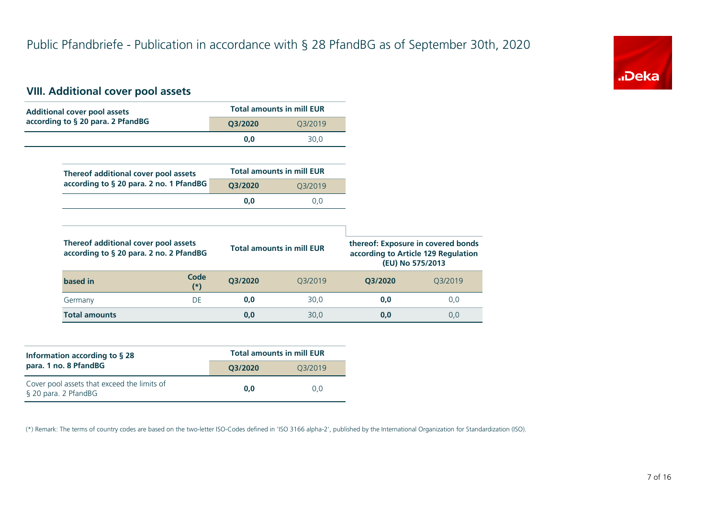

#### **VIII. Additional cover pool assets**

| <b>Additional cover pool assets</b>                                             |                      |         | <b>Total amounts in mill EUR</b> |         |                                                |
|---------------------------------------------------------------------------------|----------------------|---------|----------------------------------|---------|------------------------------------------------|
| according to § 20 para. 2 PfandBG                                               |                      | Q3/2020 | Q3/2019                          |         |                                                |
|                                                                                 |                      | 0,0     | 30,0                             |         |                                                |
|                                                                                 |                      |         |                                  |         |                                                |
| Thereof additional cover pool assets                                            |                      |         | <b>Total amounts in mill EUR</b> |         |                                                |
| according to § 20 para. 2 no. 1 PfandBG                                         |                      | Q3/2020 | Q3/2019                          |         |                                                |
|                                                                                 |                      | 0,0     | 0,0                              |         |                                                |
|                                                                                 |                      |         |                                  |         |                                                |
|                                                                                 |                      |         |                                  |         |                                                |
| Thereof additional cover pool assets<br>according to § 20 para. 2 no. 2 PfandBG |                      |         | <b>Total amounts in mill EUR</b> |         | (EU) No 575/2013                               |
| based in                                                                        | <b>Code</b><br>$(*)$ | Q3/2020 | Q3/2019                          | Q3/2020 | according to Article 129 Regulation<br>Q3/2019 |
| Germany                                                                         | <b>DE</b>            | 0,0     | 30,0                             | 0,0     | thereof: Exposure in covered bonds<br>0,0      |

| Information according to $\S$ 28                                    | <b>Total amounts in mill EUR</b> |         |  |  |  |
|---------------------------------------------------------------------|----------------------------------|---------|--|--|--|
| para. 1 no. 8 PfandBG                                               | O3/2020                          | 03/2019 |  |  |  |
| Cover pool assets that exceed the limits of<br>§ 20 para. 2 PfandBG | 0.0                              | 0.0     |  |  |  |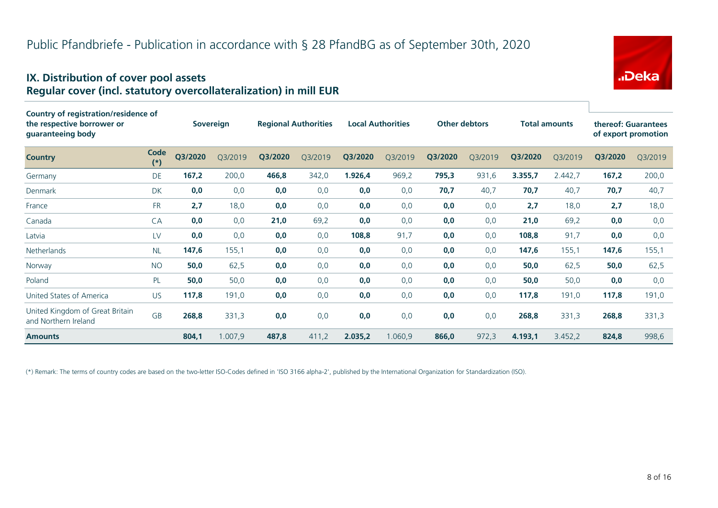# Public Pfandbriefe - Publication in accordance with § 28 PfandBG as of September 30th, 2020

#### **IX. Distribution of cover pool assets Regular cover (incl. statutory overcollateralization) in mill EUR**

| Country of registration/residence of<br>the respective borrower or<br>guaranteeing body |               |         | Sovereign |         | <b>Regional Authorities</b> |         | <b>Local Authorities</b> |         | <b>Other debtors</b> |         | <b>Total amounts</b> |         | thereof: Guarantees<br>of export promotion |
|-----------------------------------------------------------------------------------------|---------------|---------|-----------|---------|-----------------------------|---------|--------------------------|---------|----------------------|---------|----------------------|---------|--------------------------------------------|
| <b>Country</b>                                                                          | Code<br>$(*)$ | Q3/2020 | Q3/2019   | Q3/2020 | Q3/2019                     | Q3/2020 | Q3/2019                  | Q3/2020 | Q3/2019              | Q3/2020 | Q3/2019              | Q3/2020 | Q3/2019                                    |
| Germany                                                                                 | DE            | 167,2   | 200,0     | 466,8   | 342,0                       | 1.926,4 | 969,2                    | 795,3   | 931,6                | 3.355,7 | 2.442,7              | 167,2   | 200,0                                      |
| <b>Denmark</b>                                                                          | <b>DK</b>     | 0,0     | 0,0       | 0,0     | 0,0                         | 0,0     | 0,0                      | 70,7    | 40,7                 | 70,7    | 40,7                 | 70,7    | 40,7                                       |
| France                                                                                  | <b>FR</b>     | 2,7     | 18,0      | 0,0     | 0,0                         | 0,0     | 0,0                      | 0,0     | 0,0                  | 2,7     | 18,0                 | 2,7     | 18,0                                       |
| Canada                                                                                  | CA            | 0,0     | 0,0       | 21,0    | 69,2                        | 0,0     | 0,0                      | 0,0     | 0,0                  | 21,0    | 69,2                 | 0,0     | 0,0                                        |
| Latvia                                                                                  | LV            | 0,0     | 0,0       | 0,0     | 0,0                         | 108,8   | 91,7                     | 0,0     | 0,0                  | 108,8   | 91,7                 | 0,0     | 0,0                                        |
| Netherlands                                                                             | <b>NL</b>     | 147,6   | 155,1     | 0,0     | 0,0                         | 0,0     | 0,0                      | 0,0     | 0,0                  | 147,6   | 155,1                | 147,6   | 155,1                                      |
| Norway                                                                                  | <b>NO</b>     | 50,0    | 62,5      | 0,0     | 0,0                         | 0,0     | 0,0                      | 0,0     | 0,0                  | 50,0    | 62,5                 | 50,0    | 62,5                                       |
| Poland                                                                                  | PL            | 50,0    | 50,0      | 0,0     | 0,0                         | 0,0     | 0,0                      | 0,0     | 0,0                  | 50,0    | 50,0                 | 0,0     | 0,0                                        |
| United States of America                                                                | <b>US</b>     | 117,8   | 191,0     | 0,0     | 0,0                         | 0,0     | 0,0                      | 0,0     | 0,0                  | 117,8   | 191,0                | 117,8   | 191,0                                      |
| United Kingdom of Great Britain<br>and Northern Ireland                                 | <b>GB</b>     | 268,8   | 331,3     | 0,0     | 0,0                         | 0,0     | 0,0                      | 0,0     | 0,0                  | 268,8   | 331,3                | 268,8   | 331,3                                      |
| <b>Amounts</b>                                                                          |               | 804,1   | 1.007,9   | 487,8   | 411,2                       | 2.035,2 | 1.060,9                  | 866,0   | 972,3                | 4.193,1 | 3.452,2              | 824,8   | 998,6                                      |

(\*) Remark: The terms of country codes are based on the two-letter ISO-Codes defined in 'ISO 3166 alpha-2', published by the International Organization for Standardization (ISO).

"Deka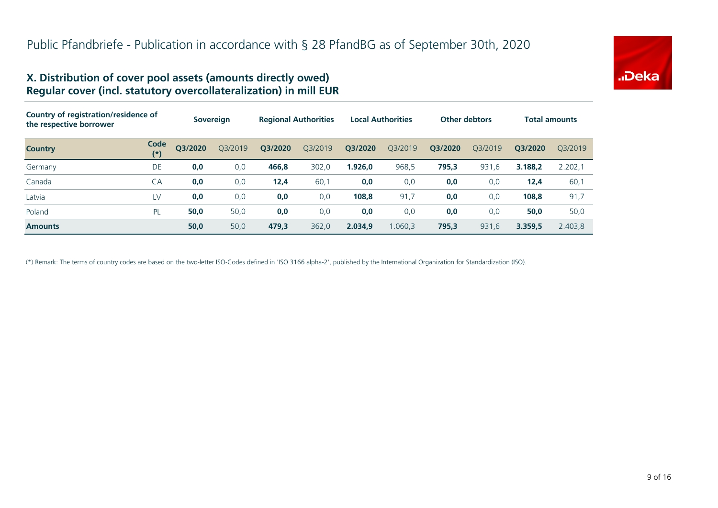

#### **X. Distribution of cover pool assets (amounts directly owed) Regular cover (incl. statutory overcollateralization) in mill EUR**

| Country of registration/residence of<br>the respective borrower |               | <b>Sovereign</b> |         | <b>Regional Authorities</b> |         | <b>Local Authorities</b> |         | <b>Other debtors</b> |         | <b>Total amounts</b> |         |
|-----------------------------------------------------------------|---------------|------------------|---------|-----------------------------|---------|--------------------------|---------|----------------------|---------|----------------------|---------|
| <b>Country</b>                                                  | Code<br>$(*)$ | O3/2020          | O3/2019 | Q3/2020                     | Q3/2019 | Q3/2020                  | Q3/2019 | Q3/2020              | O3/2019 | O3/2020              | 03/2019 |
| Germany                                                         | DE            | 0,0              | 0,0     | 466,8                       | 302,0   | 1.926,0                  | 968,5   | 795,3                | 931,6   | 3.188.2              | 2.202,1 |
| Canada                                                          | CA            | 0,0              | 0,0     | 12,4                        | 60,1    | 0,0                      | 0,0     | 0,0                  | 0,0     | 12,4                 | 60,1    |
| Latvia                                                          | LV            | 0,0              | 0,0     | 0,0                         | 0,0     | 108,8                    | 91,7    | 0,0                  | 0,0     | 108,8                | 91,7    |
| Poland                                                          | PL            | 50,0             | 50,0    | 0,0                         | 0,0     | 0,0                      | 0,0     | 0,0                  | 0,0     | 50,0                 | 50,0    |
| <b>Amounts</b>                                                  |               | 50,0             | 50,0    | 479,3                       | 362,0   | 2.034.9                  | 1.060,3 | 795,3                | 931,6   | 3.359,5              | 2.403,8 |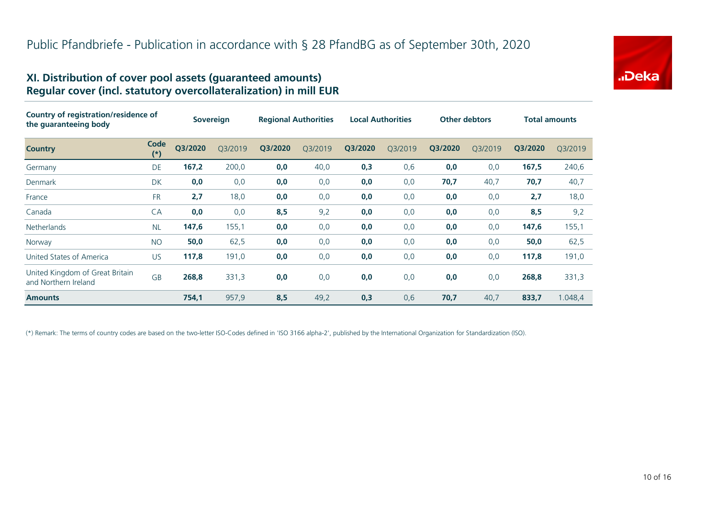# "Deka

#### **XI. Distribution of cover pool assets (guaranteed amounts) Regular cover (incl. statutory overcollateralization) in mill EUR**

| Country of registration/residence of<br>the guaranteeing body |               | <b>Sovereign</b> |         | <b>Regional Authorities</b> |         | <b>Local Authorities</b> |         | <b>Other debtors</b> |         | <b>Total amounts</b> |         |
|---------------------------------------------------------------|---------------|------------------|---------|-----------------------------|---------|--------------------------|---------|----------------------|---------|----------------------|---------|
| <b>Country</b>                                                | Code<br>$(*)$ | Q3/2020          | Q3/2019 | Q3/2020                     | Q3/2019 | Q3/2020                  | Q3/2019 | Q3/2020              | Q3/2019 | Q3/2020              | Q3/2019 |
| Germany                                                       | DE            | 167,2            | 200,0   | 0,0                         | 40,0    | 0,3                      | 0,6     | 0,0                  | 0,0     | 167,5                | 240,6   |
| Denmark                                                       | <b>DK</b>     | 0,0              | 0,0     | 0,0                         | 0,0     | 0,0                      | 0,0     | 70,7                 | 40,7    | 70,7                 | 40,7    |
| France                                                        | <b>FR</b>     | 2,7              | 18,0    | 0,0                         | 0,0     | 0,0                      | 0,0     | 0,0                  | 0,0     | 2,7                  | 18,0    |
| Canada                                                        | CA            | 0,0              | 0,0     | 8,5                         | 9,2     | 0,0                      | 0,0     | 0,0                  | 0,0     | 8,5                  | 9,2     |
| Netherlands                                                   | <b>NL</b>     | 147,6            | 155,1   | 0,0                         | 0,0     | 0,0                      | 0,0     | 0,0                  | 0,0     | 147,6                | 155,1   |
| Norway                                                        | <b>NO</b>     | 50,0             | 62,5    | 0,0                         | 0,0     | 0,0                      | 0,0     | 0,0                  | 0,0     | 50,0                 | 62,5    |
| United States of America                                      | <b>US</b>     | 117,8            | 191,0   | 0,0                         | 0,0     | 0,0                      | 0,0     | 0,0                  | 0,0     | 117,8                | 191,0   |
| United Kingdom of Great Britain<br>and Northern Ireland       | <b>GB</b>     | 268,8            | 331,3   | 0,0                         | 0,0     | 0,0                      | 0,0     | 0,0                  | 0,0     | 268,8                | 331,3   |
| <b>Amounts</b>                                                |               | 754,1            | 957,9   | 8,5                         | 49,2    | 0,3                      | 0,6     | 70,7                 | 40,7    | 833,7                | 1.048,4 |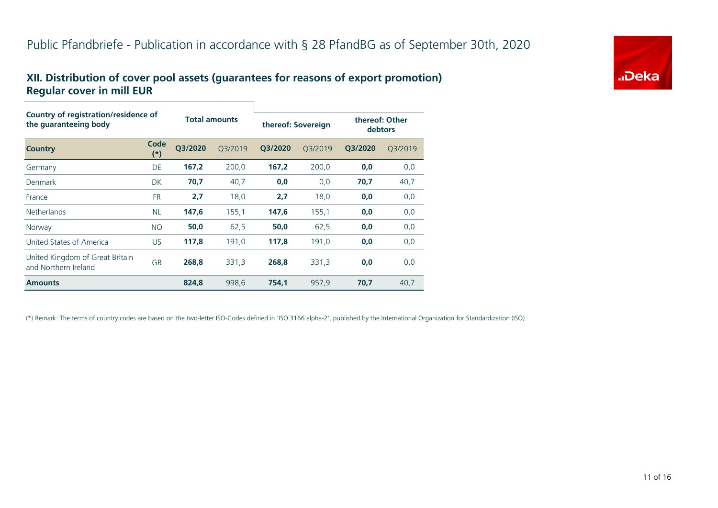### **XII. Distribution of cover pool assets (guarantees for reasons of export promotion) Regular cover in mill EUR**

| <b>Country of registration/residence of</b><br>the guaranteeing body |               |                      |         |                    |         |                           |         |  |  |  |
|----------------------------------------------------------------------|---------------|----------------------|---------|--------------------|---------|---------------------------|---------|--|--|--|
|                                                                      |               | <b>Total amounts</b> |         | thereof: Sovereign |         | thereof: Other<br>debtors |         |  |  |  |
| <b>Country</b>                                                       | Code<br>$(*)$ | O3/2020              | O3/2019 | Q3/2020            | Q3/2019 | Q3/2020                   | Q3/2019 |  |  |  |
| Germany                                                              | DE            | 167,2                | 200,0   | 167,2              | 200,0   | 0,0                       | 0,0     |  |  |  |
| Denmark                                                              | <b>DK</b>     | 70,7                 | 40,7    | 0,0                | 0,0     | 70,7                      | 40,7    |  |  |  |
| France                                                               | <b>FR</b>     | 2,7                  | 18,0    | 2,7                | 18,0    | 0,0                       | 0,0     |  |  |  |
| <b>Netherlands</b>                                                   | <b>NL</b>     | 147,6                | 155,1   | 147,6              | 155,1   | 0,0                       | 0,0     |  |  |  |
| Norway                                                               | <b>NO</b>     | 50,0                 | 62,5    | 50,0               | 62,5    | 0,0                       | 0,0     |  |  |  |
| United States of America                                             | <b>US</b>     | 117,8                | 191,0   | 117,8              | 191,0   | 0,0                       | 0,0     |  |  |  |
| United Kingdom of Great Britain<br>and Northern Ireland              | GB            | 268,8                | 331,3   | 268,8              | 331,3   | 0,0                       | 0,0     |  |  |  |
| <b>Amounts</b>                                                       |               | 824,8                | 998,6   | 754,1              | 957,9   | 70,7                      | 40,7    |  |  |  |

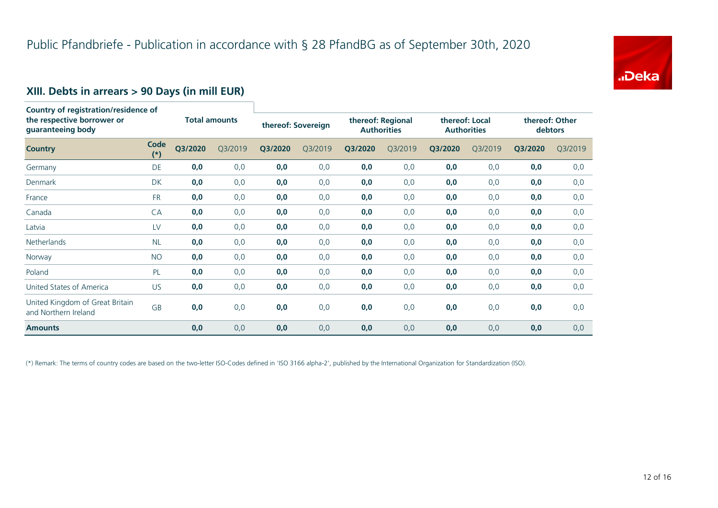

# **XIII. Debts in arrears > 90 Days (in mill EUR)**

| Country of registration/residence of<br>the respective borrower or<br>guaranteeing body |               | <b>Total amounts</b> |         | thereof: Sovereign |         | thereof: Regional<br><b>Authorities</b> |         | thereof: Local<br><b>Authorities</b> |         | thereof: Other<br>debtors |         |
|-----------------------------------------------------------------------------------------|---------------|----------------------|---------|--------------------|---------|-----------------------------------------|---------|--------------------------------------|---------|---------------------------|---------|
| <b>Country</b>                                                                          | Code<br>$(*)$ | Q3/2020              | Q3/2019 | Q3/2020            | Q3/2019 | Q3/2020                                 | Q3/2019 | Q3/2020                              | Q3/2019 | Q3/2020                   | Q3/2019 |
| Germany                                                                                 | DE            | 0,0                  | 0,0     | 0,0                | 0,0     | 0,0                                     | 0,0     | 0,0                                  | 0,0     | 0,0                       | 0,0     |
| Denmark                                                                                 | <b>DK</b>     | 0,0                  | 0,0     | 0,0                | 0,0     | 0,0                                     | 0,0     | 0,0                                  | 0,0     | 0,0                       | 0,0     |
| France                                                                                  | <b>FR</b>     | 0,0                  | 0,0     | 0,0                | 0,0     | 0,0                                     | 0,0     | 0,0                                  | 0,0     | 0,0                       | 0,0     |
| Canada                                                                                  | CA            | 0,0                  | 0,0     | 0,0                | 0,0     | 0,0                                     | 0,0     | 0,0                                  | 0,0     | 0,0                       | 0,0     |
| Latvia                                                                                  | LV            | 0,0                  | 0,0     | 0,0                | 0,0     | 0,0                                     | 0,0     | 0,0                                  | 0,0     | 0,0                       | 0,0     |
| Netherlands                                                                             | <b>NL</b>     | 0,0                  | 0,0     | 0,0                | 0,0     | 0,0                                     | 0,0     | 0,0                                  | 0,0     | 0,0                       | 0,0     |
| Norway                                                                                  | <b>NO</b>     | 0,0                  | 0,0     | 0,0                | 0,0     | 0,0                                     | 0,0     | 0,0                                  | 0,0     | 0,0                       | 0,0     |
| Poland                                                                                  | PL            | 0,0                  | 0,0     | 0,0                | 0,0     | 0,0                                     | 0,0     | 0,0                                  | 0,0     | 0,0                       | 0,0     |
| United States of America                                                                | US            | 0,0                  | 0,0     | 0,0                | 0,0     | 0,0                                     | 0,0     | 0,0                                  | 0,0     | 0,0                       | 0,0     |
| United Kingdom of Great Britain<br>and Northern Ireland                                 | <b>GB</b>     | 0,0                  | 0,0     | 0,0                | 0,0     | 0,0                                     | 0,0     | 0,0                                  | 0,0     | 0,0                       | 0,0     |
| <b>Amounts</b>                                                                          |               | 0,0                  | 0,0     | 0,0                | 0,0     | 0,0                                     | 0,0     | 0,0                                  | 0,0     | 0,0                       | 0,0     |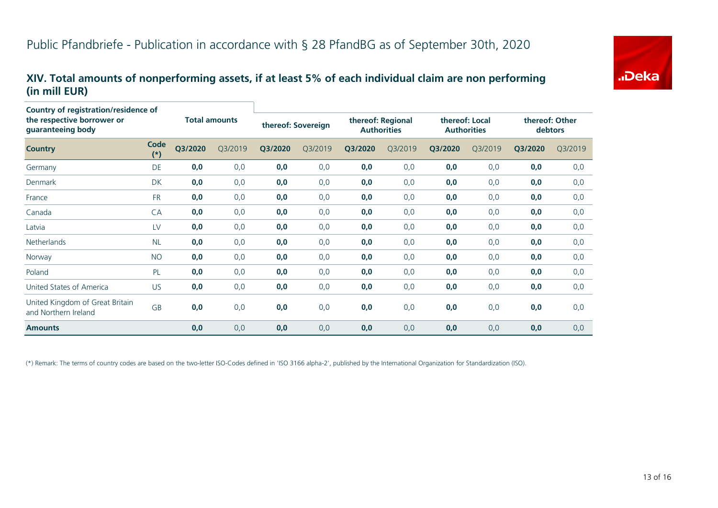

#### **XIV. Total amounts of nonperforming assets, if at least 5% of each individual claim are non performing (in mill EUR)**

| <b>Country of registration/residence of</b><br>the respective borrower or |               | <b>Total amounts</b> |         |         | thereof: Sovereign |                    | thereof: Regional |                    | thereof: Local |         | thereof: Other |  |
|---------------------------------------------------------------------------|---------------|----------------------|---------|---------|--------------------|--------------------|-------------------|--------------------|----------------|---------|----------------|--|
| guaranteeing body                                                         |               |                      |         |         |                    | <b>Authorities</b> |                   | <b>Authorities</b> |                | debtors |                |  |
| <b>Country</b>                                                            | Code<br>$(*)$ | Q3/2020              | Q3/2019 | Q3/2020 | Q3/2019            | Q3/2020            | Q3/2019           | Q3/2020            | Q3/2019        | Q3/2020 | Q3/2019        |  |
| Germany                                                                   | DE            | 0,0                  | 0,0     | 0,0     | 0,0                | 0,0                | 0,0               | 0,0                | 0,0            | 0,0     | 0,0            |  |
| Denmark                                                                   | <b>DK</b>     | 0,0                  | 0,0     | 0,0     | 0,0                | 0,0                | 0,0               | 0,0                | 0,0            | 0,0     | 0,0            |  |
| France                                                                    | <b>FR</b>     | 0,0                  | 0,0     | 0,0     | 0,0                | 0,0                | 0, 0              | 0,0                | 0,0            | 0,0     | 0,0            |  |
| Canada                                                                    | CA            | 0,0                  | 0,0     | 0,0     | 0,0                | 0,0                | 0,0               | 0,0                | 0,0            | 0,0     | 0,0            |  |
| Latvia                                                                    | LV            | 0,0                  | 0,0     | 0,0     | 0,0                | 0,0                | 0,0               | 0,0                | 0,0            | 0,0     | 0,0            |  |
| <b>Netherlands</b>                                                        | <b>NL</b>     | 0,0                  | 0,0     | 0,0     | 0,0                | 0,0                | 0,0               | 0,0                | 0,0            | 0,0     | 0,0            |  |
| Norway                                                                    | <b>NO</b>     | 0,0                  | 0,0     | 0,0     | 0,0                | 0,0                | 0,0               | 0,0                | 0,0            | 0,0     | 0,0            |  |
| Poland                                                                    | PL            | 0,0                  | 0,0     | 0,0     | 0,0                | 0,0                | 0,0               | 0,0                | 0,0            | 0,0     | 0,0            |  |
| United States of America                                                  | US            | 0,0                  | 0,0     | 0,0     | 0,0                | 0,0                | 0,0               | 0,0                | 0,0            | 0,0     | 0,0            |  |
| United Kingdom of Great Britain<br>and Northern Ireland                   | GB            | 0,0                  | 0,0     | 0,0     | 0,0                | 0,0                | 0,0               | 0,0                | 0,0            | 0,0     | 0,0            |  |
| <b>Amounts</b>                                                            |               | 0,0                  | 0,0     | 0,0     | 0,0                | 0,0                | 0,0               | 0,0                | 0,0            | 0,0     | 0,0            |  |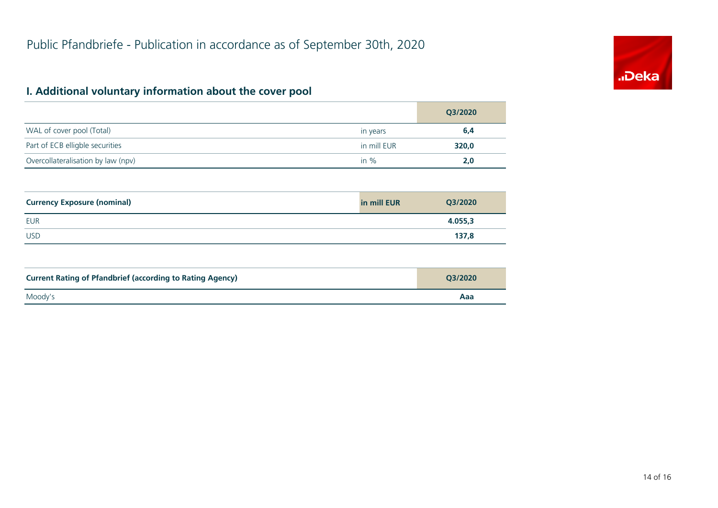

# **I. Additional voluntary information about the cover pool**

|                                    |             | Q3/2020 |
|------------------------------------|-------------|---------|
| WAL of cover pool (Total)          | in years    | 6,4     |
| Part of ECB elligble securities    | in mill EUR | 320,0   |
| Overcollateralisation by law (npv) | in $%$      | 2.0     |

| <b>Currency Exposure (nominal)</b> | in mill EUR | Q3/2020 |
|------------------------------------|-------------|---------|
| <b>EUR</b>                         |             | 4.055,3 |
| <b>USD</b>                         |             | 137,8   |

| <b>Current Rating of Pfandbrief (according to Rating Agency)</b> | O3/2020 |
|------------------------------------------------------------------|---------|
| Moody's                                                          | Aaa     |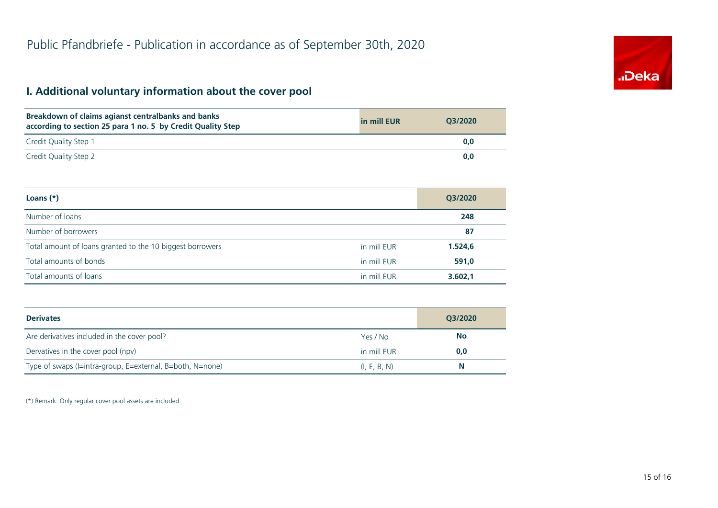# "Deka

# **I. Additional voluntary information about the cover pool**

| Breakdown of claims agianst centralbanks and banks<br>according to section 25 para 1 no. 5 by Credit Quality Step | in mill EUR | O3/2020 |
|-------------------------------------------------------------------------------------------------------------------|-------------|---------|
| Credit Quality Step 1                                                                                             |             | 0.0     |
| Credit Quality Step 2                                                                                             |             | 0,0     |

| Loans $(*)$                                               |             | Q3/2020 |
|-----------------------------------------------------------|-------------|---------|
| Number of loans                                           |             | 248     |
| Number of borrowers                                       |             | 87      |
| Total amount of loans granted to the 10 biggest borrowers | in mill EUR | 1.524,6 |
| Total amounts of bonds                                    | in mill EUR | 591,0   |
| Total amounts of loans                                    | in mill EUR | 3.602,1 |

| <b>Derivates</b>                                          |              | Q3/2020   |  |
|-----------------------------------------------------------|--------------|-----------|--|
| Are derivatives included in the cover pool?               | Yes / No     | <b>No</b> |  |
| Dervatives in the cover pool (npv)                        | in mill EUR  | 0,0       |  |
| Type of swaps (I=intra-group, E=external, B=both, N=none) | (I, E, B, N) | N         |  |

(\*) Remark: Only regular cover pool assets are included.